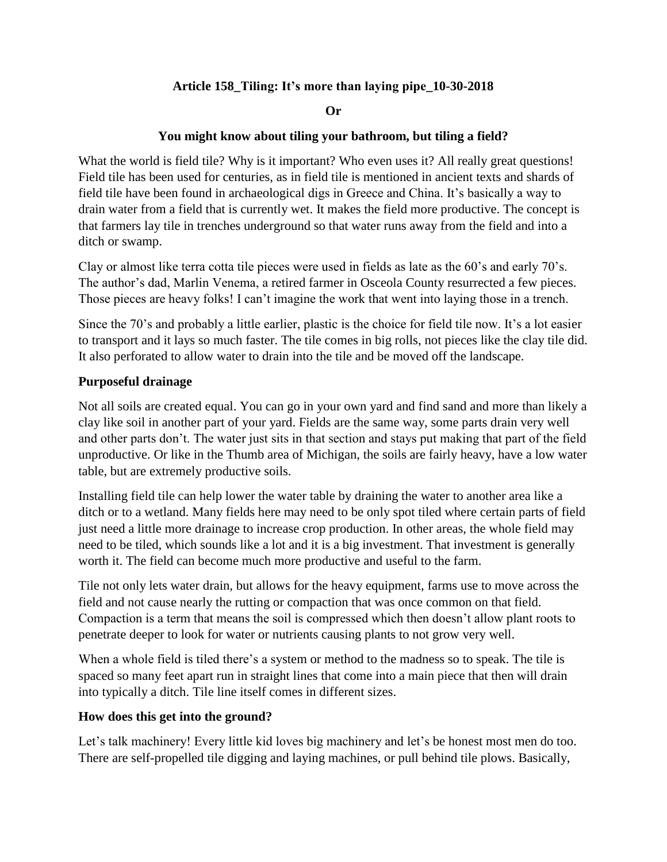# **Article 158\_Tiling: It's more than laying pipe\_10-30-2018**

#### **Or**

### **You might know about tiling your bathroom, but tiling a field?**

What the world is field tile? Why is it important? Who even uses it? All really great questions! Field tile has been used for centuries, as in field tile is mentioned in ancient texts and shards of field tile have been found in archaeological digs in Greece and China. It's basically a way to drain water from a field that is currently wet. It makes the field more productive. The concept is that farmers lay tile in trenches underground so that water runs away from the field and into a ditch or swamp.

Clay or almost like terra cotta tile pieces were used in fields as late as the 60's and early 70's. The author's dad, Marlin Venema, a retired farmer in Osceola County resurrected a few pieces. Those pieces are heavy folks! I can't imagine the work that went into laying those in a trench.

Since the 70's and probably a little earlier, plastic is the choice for field tile now. It's a lot easier to transport and it lays so much faster. The tile comes in big rolls, not pieces like the clay tile did. It also perforated to allow water to drain into the tile and be moved off the landscape.

#### **Purposeful drainage**

Not all soils are created equal. You can go in your own yard and find sand and more than likely a clay like soil in another part of your yard. Fields are the same way, some parts drain very well and other parts don't. The water just sits in that section and stays put making that part of the field unproductive. Or like in the Thumb area of Michigan, the soils are fairly heavy, have a low water table, but are extremely productive soils.

Installing field tile can help lower the water table by draining the water to another area like a ditch or to a wetland. Many fields here may need to be only spot tiled where certain parts of field just need a little more drainage to increase crop production. In other areas, the whole field may need to be tiled, which sounds like a lot and it is a big investment. That investment is generally worth it. The field can become much more productive and useful to the farm.

Tile not only lets water drain, but allows for the heavy equipment, farms use to move across the field and not cause nearly the rutting or compaction that was once common on that field. Compaction is a term that means the soil is compressed which then doesn't allow plant roots to penetrate deeper to look for water or nutrients causing plants to not grow very well.

When a whole field is tiled there's a system or method to the madness so to speak. The tile is spaced so many feet apart run in straight lines that come into a main piece that then will drain into typically a ditch. Tile line itself comes in different sizes.

#### **How does this get into the ground?**

Let's talk machinery! Every little kid loves big machinery and let's be honest most men do too. There are self-propelled tile digging and laying machines, or pull behind tile plows. Basically,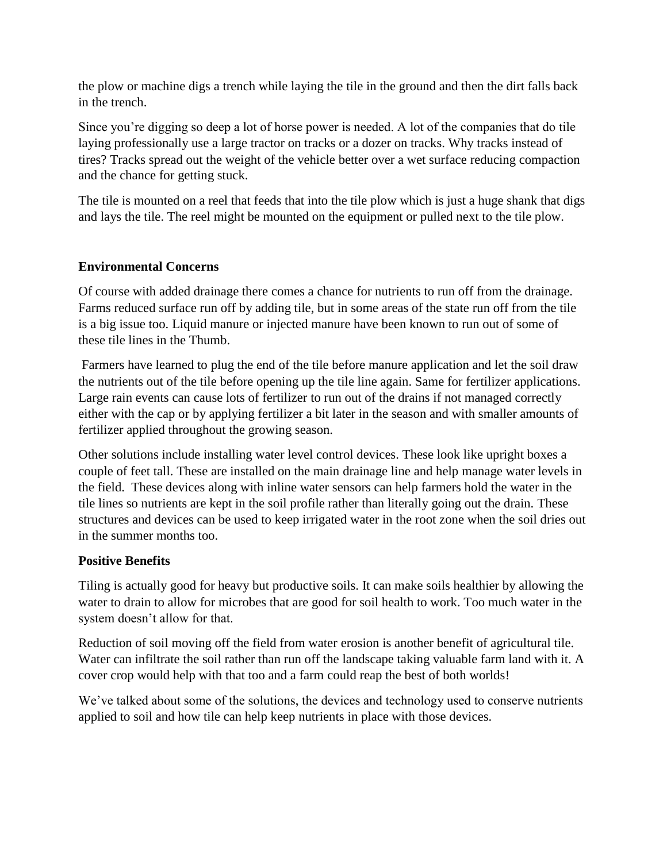the plow or machine digs a trench while laying the tile in the ground and then the dirt falls back in the trench.

Since you're digging so deep a lot of horse power is needed. A lot of the companies that do tile laying professionally use a large tractor on tracks or a dozer on tracks. Why tracks instead of tires? Tracks spread out the weight of the vehicle better over a wet surface reducing compaction and the chance for getting stuck.

The tile is mounted on a reel that feeds that into the tile plow which is just a huge shank that digs and lays the tile. The reel might be mounted on the equipment or pulled next to the tile plow.

# **Environmental Concerns**

Of course with added drainage there comes a chance for nutrients to run off from the drainage. Farms reduced surface run off by adding tile, but in some areas of the state run off from the tile is a big issue too. Liquid manure or injected manure have been known to run out of some of these tile lines in the Thumb.

Farmers have learned to plug the end of the tile before manure application and let the soil draw the nutrients out of the tile before opening up the tile line again. Same for fertilizer applications. Large rain events can cause lots of fertilizer to run out of the drains if not managed correctly either with the cap or by applying fertilizer a bit later in the season and with smaller amounts of fertilizer applied throughout the growing season.

Other solutions include installing water level control devices. These look like upright boxes a couple of feet tall. These are installed on the main drainage line and help manage water levels in the field. These devices along with inline water sensors can help farmers hold the water in the tile lines so nutrients are kept in the soil profile rather than literally going out the drain. These structures and devices can be used to keep irrigated water in the root zone when the soil dries out in the summer months too.

# **Positive Benefits**

Tiling is actually good for heavy but productive soils. It can make soils healthier by allowing the water to drain to allow for microbes that are good for soil health to work. Too much water in the system doesn't allow for that.

Reduction of soil moving off the field from water erosion is another benefit of agricultural tile. Water can infiltrate the soil rather than run off the landscape taking valuable farm land with it. A cover crop would help with that too and a farm could reap the best of both worlds!

We've talked about some of the solutions, the devices and technology used to conserve nutrients applied to soil and how tile can help keep nutrients in place with those devices.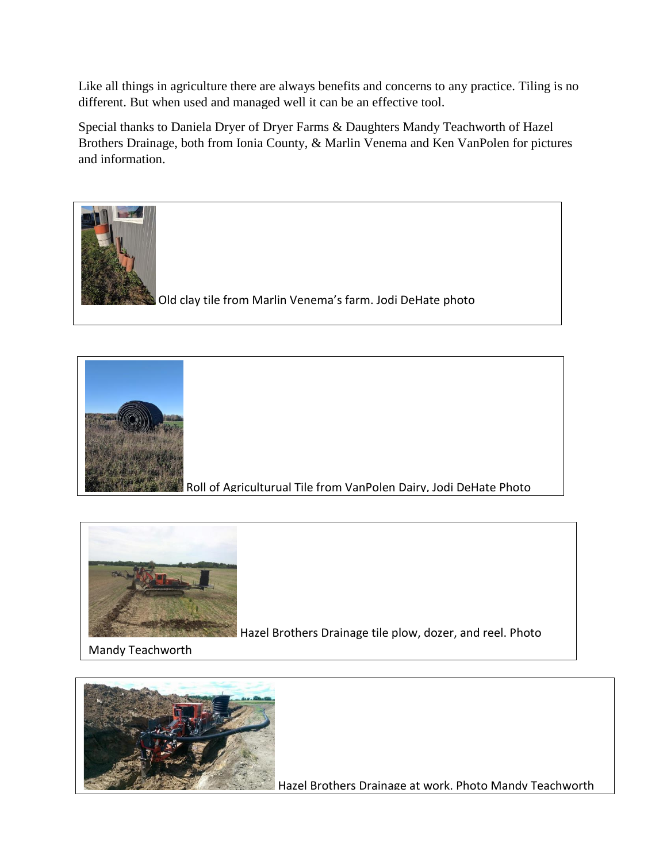Like all things in agriculture there are always benefits and concerns to any practice. Tiling is no different. But when used and managed well it can be an effective tool.

Special thanks to Daniela Dryer of Dryer Farms & Daughters Mandy Teachworth of Hazel Brothers Drainage, both from Ionia County, & Marlin Venema and Ken VanPolen for pictures and information.





Roll of Agriculturual Tile from VanPolen Dairy, Jodi DeHate Photo



Hazel Brothers Drainage tile plow, dozer, and reel. Photo

Mandy Teachworth



Hazel Brothers Drainage at work. Photo Mandy Teachworth